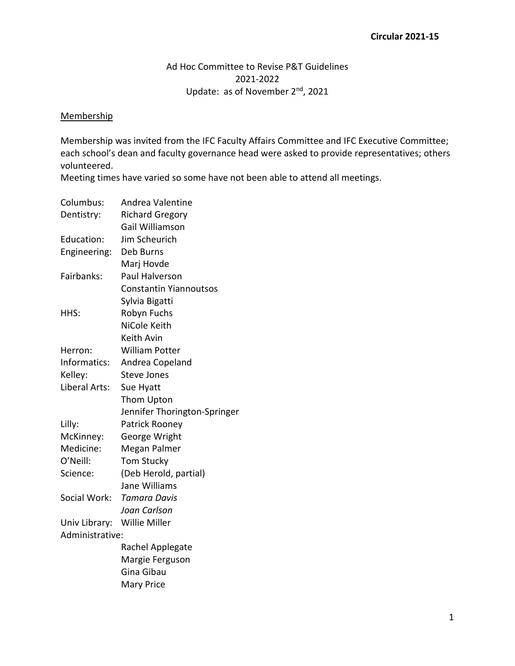## Ad Hoc Committee to Revise P&T Guidelines 2021-2022 Update: as of November 2<sup>nd</sup>, 2021

## **Membership**

Membership was invited from the IFC Faculty Affairs Committee and IFC Executive Committee; each school's dean and faculty governance head were asked to provide representatives; others volunteered.

Meeting times have varied so some have not been able to attend all meetings.

| Columbus:       | Andrea Valentine              |
|-----------------|-------------------------------|
| Dentistry:      | <b>Richard Gregory</b>        |
|                 | Gail Williamson               |
| Education:      | Jim Scheurich                 |
| Engineering:    | Deb Burns                     |
|                 | Marj Hovde                    |
| Fairbanks:      | Paul Halverson                |
|                 | <b>Constantin Yiannoutsos</b> |
|                 | Sylvia Bigatti                |
| HHS:            | Robyn Fuchs                   |
|                 | NiCole Keith                  |
|                 | Keith Avin                    |
| Herron:         | <b>William Potter</b>         |
| Informatics:    | Andrea Copeland               |
| Kelley:         | <b>Steve Jones</b>            |
| Liberal Arts:   | Sue Hyatt                     |
|                 | Thom Upton                    |
|                 | Jennifer Thorington-Springer  |
| Lilly:          | Patrick Rooney                |
| McKinney:       | George Wright                 |
| Medicine:       | Megan Palmer                  |
| O'Neill:        | <b>Tom Stucky</b>             |
| Science:        | (Deb Herold, partial)         |
|                 | Jane Williams                 |
| Social Work:    | <b>Tamara Davis</b>           |
|                 | Joan Carlson                  |
| Univ Library:   | <b>Willie Miller</b>          |
| Administrative: |                               |
|                 | Rachel Applegate              |
|                 | Margie Ferguson               |
|                 | Gina Gibau                    |
|                 | <b>Mary Price</b>             |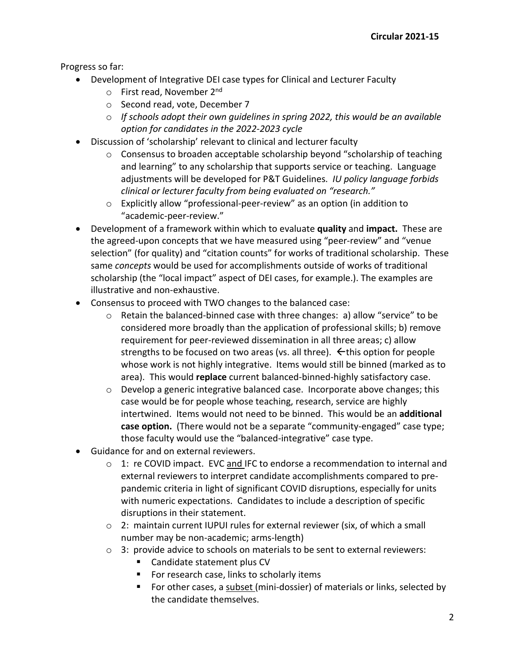Progress so far:

- Development of Integrative DEI case types for Clinical and Lecturer Faculty
	- o First read, November 2nd
	- o Second read, vote, December 7
	- o *If schools adopt their own guidelines in spring 2022, this would be an available option for candidates in the 2022-2023 cycle*
- Discussion of 'scholarship' relevant to clinical and lecturer faculty
	- $\circ$  Consensus to broaden acceptable scholarship beyond "scholarship of teaching and learning" to any scholarship that supports service or teaching. Language adjustments will be developed for P&T Guidelines. *IU policy language forbids clinical or lecturer faculty from being evaluated on "research."*
	- o Explicitly allow "professional-peer-review" as an option (in addition to "academic-peer-review."
- Development of a framework within which to evaluate **quality** and **impact.** These are the agreed-upon concepts that we have measured using "peer-review" and "venue selection" (for quality) and "citation counts" for works of traditional scholarship. These same *concepts* would be used for accomplishments outside of works of traditional scholarship (the "local impact" aspect of DEI cases, for example.). The examples are illustrative and non-exhaustive.
- Consensus to proceed with TWO changes to the balanced case:
	- $\circ$  Retain the balanced-binned case with three changes: a) allow "service" to be considered more broadly than the application of professional skills; b) remove requirement for peer-reviewed dissemination in all three areas; c) allow strengths to be focused on two areas (vs. all three).  $\leftarrow$  this option for people whose work is not highly integrative. Items would still be binned (marked as to area). This would **replace** current balanced-binned-highly satisfactory case.
	- o Develop a generic integrative balanced case. Incorporate above changes; this case would be for people whose teaching, research, service are highly intertwined. Items would not need to be binned. This would be an **additional case option.** (There would not be a separate "community-engaged" case type; those faculty would use the "balanced-integrative" case type.
- Guidance for and on external reviewers.
	- $\circ$  1: re COVID impact. EVC and IFC to endorse a recommendation to internal and external reviewers to interpret candidate accomplishments compared to prepandemic criteria in light of significant COVID disruptions, especially for units with numeric expectations. Candidates to include a description of specific disruptions in their statement.
	- o 2: maintain current IUPUI rules for external reviewer (six, of which a small number may be non-academic; arms-length)
	- $\circ$  3: provide advice to schools on materials to be sent to external reviewers:
		- Candidate statement plus CV
		- For research case, links to scholarly items
		- For other cases, a subset (mini-dossier) of materials or links, selected by the candidate themselves.